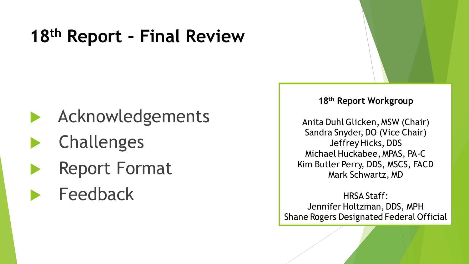# **18th Report – Final Review**

- Acknowledgements
- Challenges
- Report Format
- Feedback

#### **18th Report Workgroup**

Anita Duhl Glicken, MSW (Chair) Sandra Snyder, DO (Vice Chair) Jeffrey Hicks, DDS Michael Huckabee, MPAS, PA-C Kim Butler Perry, DDS, MSCS, FACD Mark Schwartz, MD

HRSA Staff: Jennifer Holtzman, DDS, MPH Shane Rogers Designated Federal Official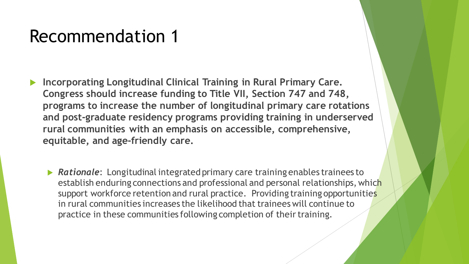- **Incorporating Longitudinal Clinical Training in Rural Primary Care. Congress should increase funding to Title VII, Section 747 and 748, programs to increase the number of longitudinal primary care rotations and post-graduate residency programs providing training in underserved rural communities with an emphasis on accessible, comprehensive, equitable, and age-friendly care.**
	- *Rationale*: Longitudinal integrated primary care training enables trainees to establish enduring connections and professional and personal relationships, which support workforce retention and rural practice. Providing training opportunities in rural communities increases the likelihood that trainees will continue to practice in these communities following completion of their training.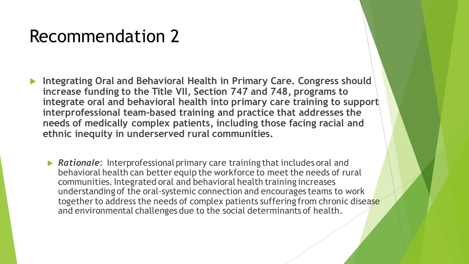- **Integrating Oral and Behavioral Health in Primary Care. Congress should increase funding to the Title VII, Section 747 and 748, programs to integrate oral and behavioral health into primary care training to support interprofessional team-based training and practice that addresses the needs of medically complex patients, including those facing racial and ethnic inequity in underserved rural communities.** 
	- **Rationale:** Interprofessional primary care training that includes oral and behavioral health can better equip the workforce to meet the needs of rural communities. Integrated oral and behavioral health training increases understanding of the oral-systemic connection and encourages teams to work together to address the needs of complex patients suffering from chronic disease and environmental challenges due to the social determinants of health.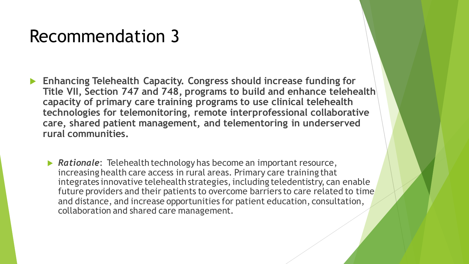- **Enhancing Telehealth Capacity. Congress should increase funding for Title VII, Section 747 and 748, programs to build and enhance telehealth capacity of primary care training programs to use clinical telehealth technologies for telemonitoring, remote interprofessional collaborative care, shared patient management, and telementoring in underserved rural communities.**
	- **► Rationale:** Telehealth technology has become an important resource, increasing health care access in rural areas. Primary care training that integrates innovative telehealth strategies, including teledentistry, can enable future providers and their patients to overcome barriers to care related to time and distance, and increase opportunities for patient education, consultation, collaboration and shared care management.